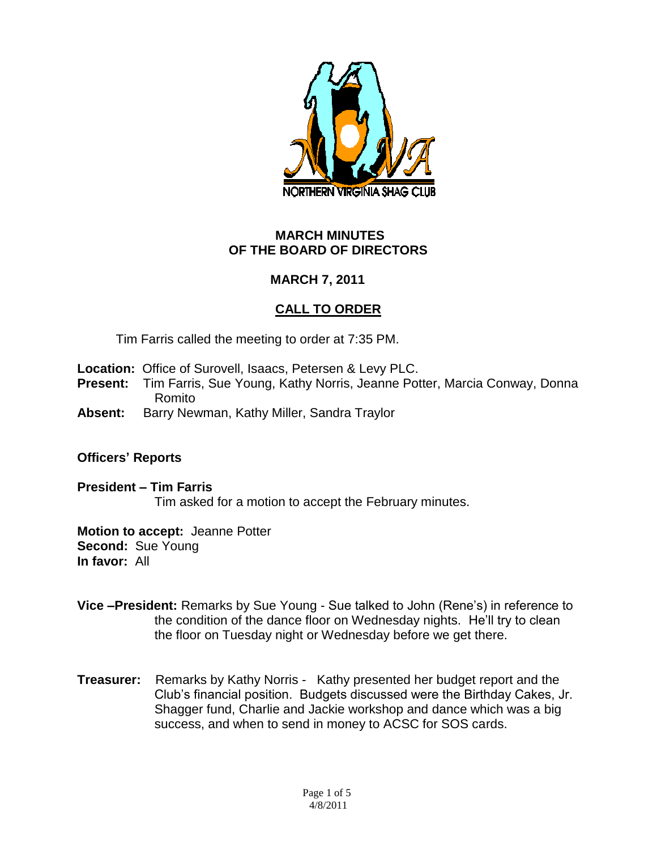

### **MARCH MINUTES OF THE BOARD OF DIRECTORS**

# **MARCH 7, 2011**

# **CALL TO ORDER**

Tim Farris called the meeting to order at 7:35 PM.

- **Location:** Office of Surovell, Isaacs, Petersen & Levy PLC.
- **Present:** Tim Farris, Sue Young, Kathy Norris, Jeanne Potter, Marcia Conway, Donna Romito
- **Absent:** Barry Newman, Kathy Miller, Sandra Traylor

#### **Officers' Reports**

**President – Tim Farris** Tim asked for a motion to accept the February minutes.

**Motion to accept:** Jeanne Potter **Second:** Sue Young **In favor:** All

- **Vice –President:** Remarks by Sue Young Sue talked to John (Rene's) in reference to the condition of the dance floor on Wednesday nights. He'll try to clean the floor on Tuesday night or Wednesday before we get there.
- **Treasurer:** Remarks by Kathy Norris Kathy presented her budget report and the Club's financial position. Budgets discussed were the Birthday Cakes, Jr. Shagger fund, Charlie and Jackie workshop and dance which was a big success, and when to send in money to ACSC for SOS cards.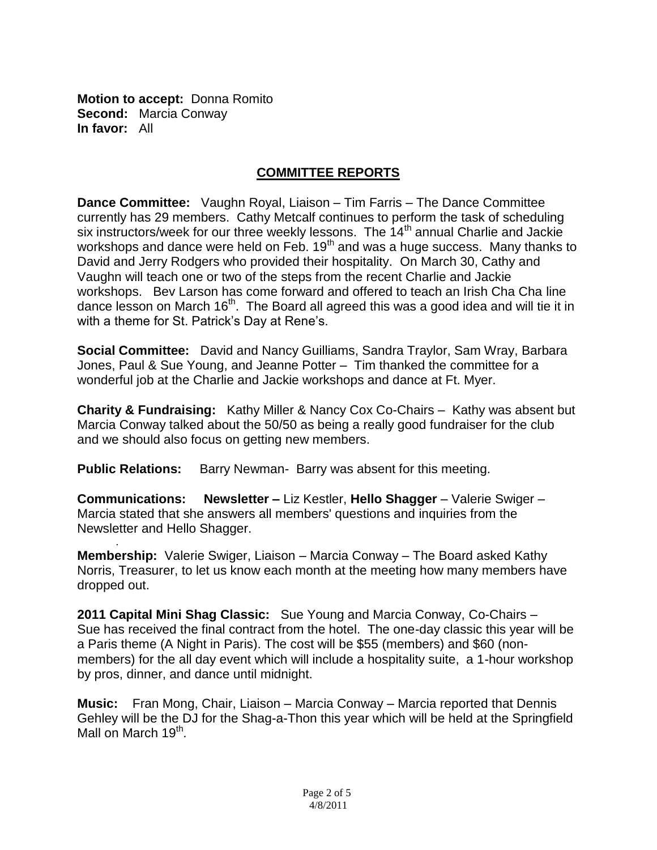**Motion to accept:** Donna Romito **Second:** Marcia Conway **In favor:** All

.

# **COMMITTEE REPORTS**

**Dance Committee:** Vaughn Royal, Liaison – Tim Farris – The Dance Committee currently has 29 members. Cathy Metcalf continues to perform the task of scheduling six instructors/week for our three weekly lessons. The 14<sup>th</sup> annual Charlie and Jackie workshops and dance were held on Feb.  $19<sup>th</sup>$  and was a huge success. Many thanks to David and Jerry Rodgers who provided their hospitality. On March 30, Cathy and Vaughn will teach one or two of the steps from the recent Charlie and Jackie workshops. Bev Larson has come forward and offered to teach an Irish Cha Cha line dance lesson on March 16<sup>th</sup>. The Board all agreed this was a good idea and will tie it in with a theme for St. Patrick's Day at Rene's.

**Social Committee:** David and Nancy Guilliams, Sandra Traylor, Sam Wray, Barbara Jones, Paul & Sue Young, and Jeanne Potter – Tim thanked the committee for a wonderful job at the Charlie and Jackie workshops and dance at Ft. Myer.

**Charity & Fundraising:** Kathy Miller & Nancy Cox Co-Chairs – Kathy was absent but Marcia Conway talked about the 50/50 as being a really good fundraiser for the club and we should also focus on getting new members.

**Public Relations:** Barry Newman- Barry was absent for this meeting.

**Communications: Newsletter –** Liz Kestler, **Hello Shagger** – Valerie Swiger – Marcia stated that she answers all members' questions and inquiries from the Newsletter and Hello Shagger.

**Membership:** Valerie Swiger, Liaison – Marcia Conway – The Board asked Kathy Norris, Treasurer, to let us know each month at the meeting how many members have dropped out.

**2011 Capital Mini Shag Classic:** Sue Young and Marcia Conway, Co-Chairs – Sue has received the final contract from the hotel. The one-day classic this year will be a Paris theme (A Night in Paris). The cost will be \$55 (members) and \$60 (nonmembers) for the all day event which will include a hospitality suite, a 1-hour workshop by pros, dinner, and dance until midnight.

**Music:** Fran Mong, Chair, Liaison – Marcia Conway – Marcia reported that Dennis Gehley will be the DJ for the Shag-a-Thon this year which will be held at the Springfield Mall on March 19<sup>th</sup>.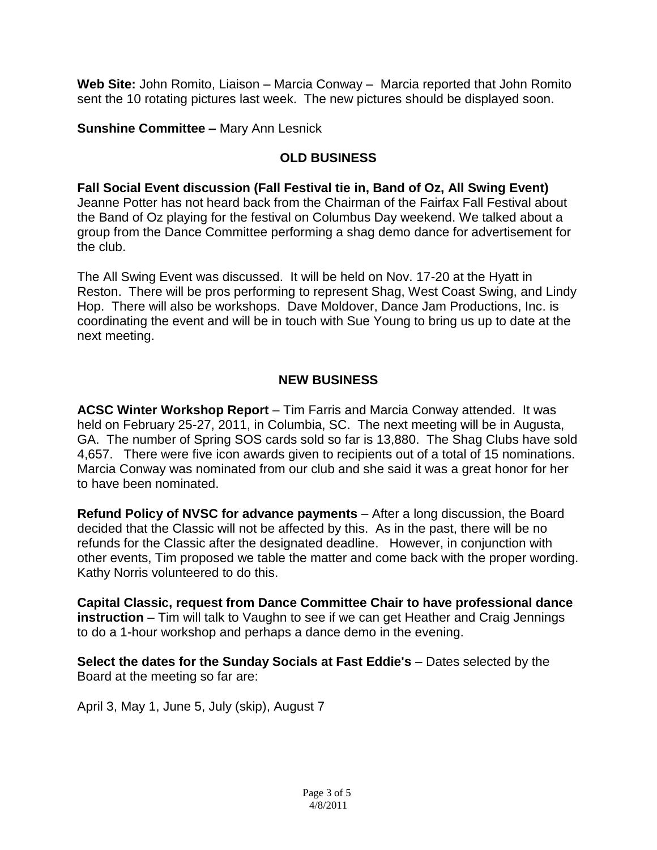**Web Site:** John Romito, Liaison – Marcia Conway – Marcia reported that John Romito sent the 10 rotating pictures last week. The new pictures should be displayed soon.

## **Sunshine Committee –** Mary Ann Lesnick

### **OLD BUSINESS**

### **Fall Social Event discussion (Fall Festival tie in, Band of Oz, All Swing Event)**

Jeanne Potter has not heard back from the Chairman of the Fairfax Fall Festival about the Band of Oz playing for the festival on Columbus Day weekend. We talked about a group from the Dance Committee performing a shag demo dance for advertisement for the club.

The All Swing Event was discussed. It will be held on Nov. 17-20 at the Hyatt in Reston. There will be pros performing to represent Shag, West Coast Swing, and Lindy Hop. There will also be workshops. Dave Moldover, Dance Jam Productions, Inc. is coordinating the event and will be in touch with Sue Young to bring us up to date at the next meeting.

### **NEW BUSINESS**

**ACSC Winter Workshop Report** – Tim Farris and Marcia Conway attended. It was held on February 25-27, 2011, in Columbia, SC. The next meeting will be in Augusta, GA. The number of Spring SOS cards sold so far is 13,880. The Shag Clubs have sold 4,657. There were five icon awards given to recipients out of a total of 15 nominations. Marcia Conway was nominated from our club and she said it was a great honor for her to have been nominated.

**Refund Policy of NVSC for advance payments** – After a long discussion, the Board decided that the Classic will not be affected by this. As in the past, there will be no refunds for the Classic after the designated deadline. However, in conjunction with other events, Tim proposed we table the matter and come back with the proper wording. Kathy Norris volunteered to do this.

**Capital Classic, request from Dance Committee Chair to have professional dance instruction** – Tim will talk to Vaughn to see if we can get Heather and Craig Jennings to do a 1-hour workshop and perhaps a dance demo in the evening.

**Select the dates for the Sunday Socials at Fast Eddie's** – Dates selected by the Board at the meeting so far are:

April 3, May 1, June 5, July (skip), August 7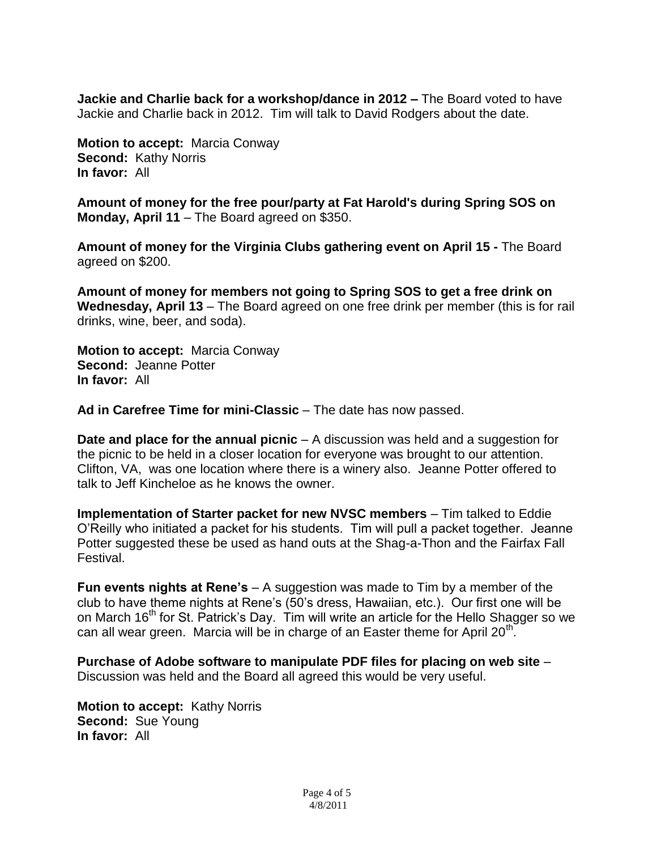**Jackie and Charlie back for a workshop/dance in 2012 –** The Board voted to have Jackie and Charlie back in 2012. Tim will talk to David Rodgers about the date.

**Motion to accept:** Marcia Conway **Second:** Kathy Norris **In favor:** All

**Amount of money for the free pour/party at Fat Harold's during Spring SOS on Monday, April 11** – The Board agreed on \$350.

**Amount of money for the Virginia Clubs gathering event on April 15 -** The Board agreed on \$200.

**Amount of money for members not going to Spring SOS to get a free drink on Wednesday, April 13** – The Board agreed on one free drink per member (this is for rail drinks, wine, beer, and soda).

**Motion to accept:** Marcia Conway **Second:** Jeanne Potter **In favor:** All

**Ad in Carefree Time for mini-Classic** – The date has now passed.

**Date and place for the annual picnic** – A discussion was held and a suggestion for the picnic to be held in a closer location for everyone was brought to our attention. Clifton, VA, was one location where there is a winery also. Jeanne Potter offered to talk to Jeff Kincheloe as he knows the owner.

**Implementation of Starter packet for new NVSC members** – Tim talked to Eddie O'Reilly who initiated a packet for his students. Tim will pull a packet together. Jeanne Potter suggested these be used as hand outs at the Shag-a-Thon and the Fairfax Fall Festival.

**Fun events nights at Rene's** – A suggestion was made to Tim by a member of the club to have theme nights at Rene's (50's dress, Hawaiian, etc.). Our first one will be on March 16<sup>th</sup> for St. Patrick's Day. Tim will write an article for the Hello Shagger so we can all wear green. Marcia will be in charge of an Easter theme for April 20<sup>th</sup>.

**Purchase of Adobe software to manipulate PDF files for placing on web site** – Discussion was held and the Board all agreed this would be very useful.

**Motion to accept:** Kathy Norris **Second:** Sue Young **In favor:** All